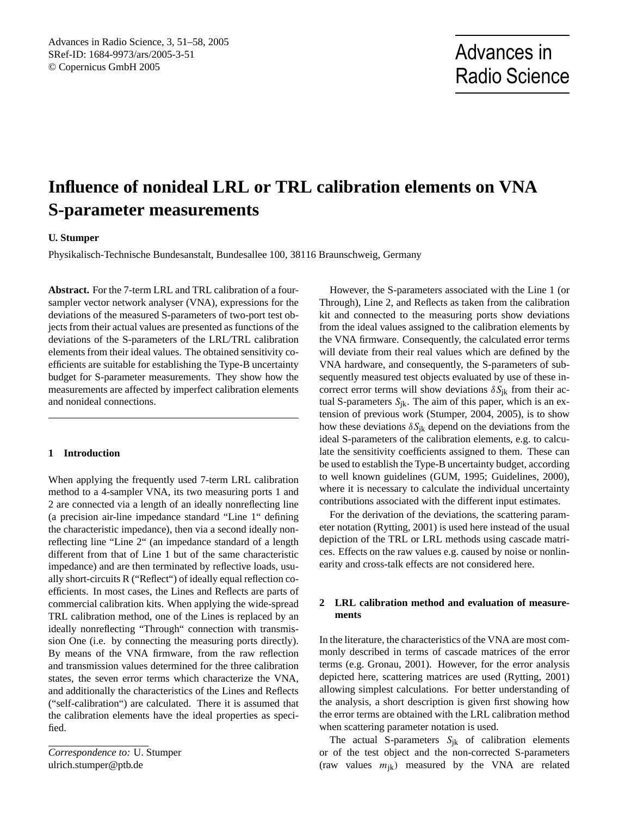# **Influence of nonideal LRL or TRL calibration elements on VNA S-parameter measurements**

## **U. Stumper**

Physikalisch-Technische Bundesanstalt, Bundesallee 100, 38116 Braunschweig, Germany

**Abstract.** For the 7-term LRL and TRL calibration of a foursampler vector network analyser (VNA), expressions for the deviations of the measured S-parameters of two-port test objects from their actual values are presented as functions of the deviations of the S-parameters of the LRL/TRL calibration elements from their ideal values. The obtained sensitivity coefficients are suitable for establishing the Type-B uncertainty budget for S-parameter measurements. They show how the measurements are affected by imperfect calibration elements and nonideal connections.

## **1 Introduction**

When applying the frequently used 7-term LRL calibration method to a 4-sampler VNA, its two measuring ports 1 and 2 are connected via a length of an ideally nonreflecting line (a precision air-line impedance standard "Line 1" defining the characteristic impedance), then via a second ideally nonreflecting line "Line 2" (an impedance standard of a length different from that of Line 1 but of the same characteristic impedance) and are then terminated by reflective loads, usually short-circuits R ("Reflect") of ideally equal reflection coefficients. In most cases, the Lines and Reflects are parts of commercial calibration kits. When applying the wide-spread TRL calibration method, one of the Lines is replaced by an ideally nonreflecting "Through" connection with transmission One (i.e. by connecting the measuring ports directly). By means of the VNA firmware, from the raw reflection and transmission values determined for the three calibration states, the seven error terms which characterize the VNA, and additionally the characteristics of the Lines and Reflects ("self-calibration") are calculated. There it is assumed that the calibration elements have the ideal properties as specified.

<span id="page-0-0"></span>*Correspondence to:* U. Stumper ulrich.stumper@ptb.de

However, the S-parameters associated with the Line 1 (or Through), Line 2, and Reflects as taken from the calibration kit and connected to the measuring ports show deviations from the ideal values assigned to the calibration elements by the VNA firmware. Consequently, the calculated error terms will deviate from their real values which are defined by the VNA hardware, and consequently, the S-parameters of subsequently measured test objects evaluated by use of these incorrect error terms will show deviations  $\delta S_{ik}$  from their actual S-parameters  $S_{ik}$ . The aim of this paper, which is an extension of previous work (Stumper, 2004, 2005), is to show how these deviations  $\delta S_{ik}$  depend on the deviations from the ideal S-parameters of the calibration elements, e.g. to calculate the sensitivity coefficients assigned to them. These can be used to establish the Type-B uncertainty budget, according to well known guidelines (GUM, 1995; Guidelines, 2000), where it is necessary to calculate the individual uncertainty contributions associated with the different input estimates.

For the derivation of the deviations, the scattering parameter notation (Rytting, 2001) is used here instead of the usual depiction of the TRL or LRL methods using cascade matrices. Effects on the raw values e.g. caused by noise or nonlinearity and cross-talk effects are not considered here.

## **2 LRL calibration method and evaluation of measurements**

In the literature, the characteristics of the VNA are most commonly described in terms of cascade matrices of the error terms (e.g. Gronau, 2001). However, for the error analysis depicted here, scattering matrices are used (Rytting, 2001) allowing simplest calculations. For better understanding of the analysis, a short description is given first showing how the error terms are obtained with the LRL calibration method when scattering parameter notation is used.

The actual S-parameters  $S_{jk}$  of calibration elements or of the test object and the non-corrected S-parameters (raw values  $m_{ik}$ ) measured by the VNA are related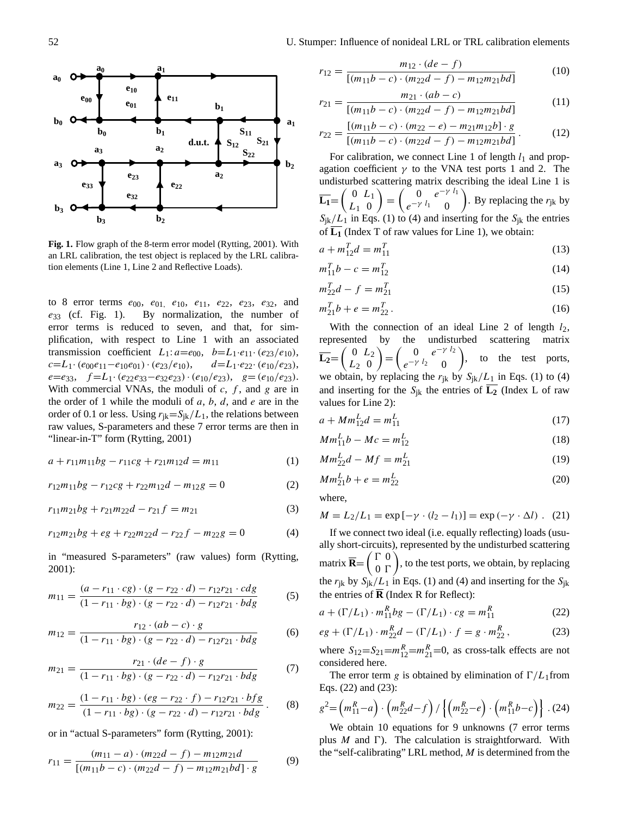

**Fig. 1.** Flow graph of the 8-term error model (Rytting, 2001). With an LRL calibration, the test object is replaced by the LRL calibration elements (Line 1, Line 2 and Reflective Loads).

to 8 error terms  $e_{00}$ ,  $e_{01}$ ,  $e_{10}$ ,  $e_{11}$ ,  $e_{22}$ ,  $e_{23}$ ,  $e_{32}$ , and  $e_{33}$  (cf. Fig. 1). By normalization, the number of error terms is reduced to seven, and that, for simplification, with respect to Line 1 with an associated transmission coefficient  $L_1$ :  $a=e_{00}$ ,  $b=L_1 \cdot e_{11} \cdot (e_{23}/e_{10})$ ,  $c=L_1\cdot(e_{00}e_{11}-e_{10}e_{01})\cdot(e_{23}/e_{10}), \quad d=L_1\cdot e_{22}\cdot(e_{10}/e_{23}),$  $e=e_{33}$ ,  $f=L_1 \cdot (e_{22}e_{33}-e_{32}e_{23}) \cdot (e_{10}/e_{23})$ ,  $g=(e_{10}/e_{23})$ . With commercial VNAs, the moduli of  $c, f$ , and  $g$  are in the order of 1 while the moduli of  $a, b, d$ , and  $e$  are in the order of 0.1 or less. Using  $r_{jk}=S_{jk}/L_1$ , the relations between raw values, S-parameters and these 7 error terms are then in "linear-in-T" form (Rytting, 2001)

<span id="page-1-0"></span>
$$
a + r_{11}m_{11}bg - r_{11}cg + r_{21}m_{12}d = m_{11}
$$
 (1)

 $r_{12}m_{11}bg - r_{12}cg + r_{22}m_{12}d - m_{12}g = 0$  (2)

$$
r_{11}m_{21}bg + r_{21}m_{22}d - r_{21}f = m_{21}
$$
 (3)

<span id="page-1-1"></span>
$$
r_{12}m_{21}bg + eg + r_{22}m_{22}d - r_{22}f - m_{22}g = 0
$$
 (4)

in "measured S-parameters" (raw values) form (Rytting, 2001):

<span id="page-1-9"></span>
$$
m_{11} = \frac{(a - r_{11} \cdot cg) \cdot (g - r_{22} \cdot d) - r_{12}r_{21} \cdot cdg}{(1 - r_{11} \cdot bg) \cdot (g - r_{22} \cdot d) - r_{12}r_{21} \cdot bdg} \tag{5}
$$

$$
m_{12} = \frac{r_{12} \cdot (ab - c) \cdot g}{(1 - r_{11} \cdot bg) \cdot (g - r_{22} \cdot d) - r_{12}r_{21} \cdot bdg} \tag{6}
$$

$$
m_{21} = \frac{r_{21} \cdot (de - f) \cdot g}{(1 - r_{11} \cdot bg) \cdot (g - r_{22} \cdot d) - r_{12}r_{21} \cdot bdg} \tag{7}
$$

$$
m_{22} = \frac{(1 - r_{11} \cdot bg) \cdot (eg - r_{22} \cdot f) - r_{12}r_{21} \cdot bfg}{(1 - r_{11} \cdot bg) \cdot (g - r_{22} \cdot d) - r_{12}r_{21} \cdot bdg}.
$$
 (8)

or in "actual S-parameters" form (Rytting, 2001):

<span id="page-1-8"></span>
$$
r_{11} = \frac{(m_{11} - a) \cdot (m_{22}d - f) - m_{12}m_{21}d}{[(m_{11}b - c) \cdot (m_{22}d - f) - m_{12}m_{21}bd] \cdot g}
$$
(9)

$$
r_{12} = \frac{m_{12} \cdot (de - f)}{[(m_{11}b - c) \cdot (m_{22}d - f) - m_{12}m_{21}bd]}
$$
(10)

$$
r_{21} = \frac{m_{21} \cdot (ab - c)}{[(m_{11}b - c) \cdot (m_{22}d - f) - m_{12}m_{21}bd]}
$$
(11)

$$
r_{22} = \frac{[(m_{11}b - c) \cdot (m_{22} - e) - m_{21}m_{12}b] \cdot g}{[(m_{11}b - c) \cdot (m_{22}d - f) - m_{12}m_{21}bd]}.
$$
 (12)

For calibration, we connect Line 1 of length  $l_1$  and propagation coefficient  $\gamma$  to the VNA test ports 1 and 2. The undisturbed scattering matrix describing the ideal Line 1 is  $\overline{\mathbf{L_1}} = \begin{pmatrix} 0 & L_1 \\ L_1 & 0 \end{pmatrix}$  $L_1$  0  $=\begin{pmatrix} 0 & e^{-\gamma l_1} \\ -\gamma l_1 & 0 \end{pmatrix}$  $e^{-\gamma l_1} 0$ ). By replacing the  $r_{jk}$  by  $S_{ik}/L_1$  in Eqs. [\(1\)](#page-1-0) to [\(4\)](#page-1-1) and inserting for the  $S_{ik}$  the entries of  $\overline{L_1}$  (Index T of raw values for Line 1), we obtain:

$$
a + m_{12}^T d = m_{11}^T
$$
\n(13)

$$
m_{11}^T b - c = m_{12}^T
$$
 (14)

<span id="page-1-4"></span>
$$
m_{22}^T d - f = m_{21}^T
$$
 (15)

$$
m_{21}^T b + e = m_{22}^T.
$$
 (16)

With the connection of an ideal Line 2 of length  $l_2$ , represented by the undisturbed scattering matrix  $\overline{\mathbf{L}_2} = \begin{pmatrix} 0 & L_2 \\ L_2 & 0 \end{pmatrix}$  $L_2$  0  $= \begin{pmatrix} 0 & e^{-\gamma l_2} \\ -\gamma l_2 & 0 \end{pmatrix}$  $e^{-\gamma l_2} 0$ ), to the test ports, we obtain, by replacing the  $r_{ik}$  by  $S_{ik}/L_1$  in Eqs. [\(1\)](#page-1-0) to [\(4\)](#page-1-1) and inserting for the  $S_{ik}$  the entries of  $\overline{L_2}$  (Index L of raw values for Line 2):

<span id="page-1-6"></span>
$$
a + Mm_{12}^L d = m_{11}^L
$$
 (17)

$$
Mm_{11}^L b - Mc = m_{12}^L
$$
 (18)

<span id="page-1-5"></span>
$$
Mm_{22}^L d - Mf = m_{21}^L
$$
 (19)

<span id="page-1-7"></span>
$$
Mm_{21}^L b + e = m_{22}^L
$$
 (20)

where,

$$
M = L_2/L_1 = \exp[-\gamma \cdot (l_2 - l_1)] = \exp(-\gamma \cdot \Delta l) \ . \tag{21}
$$

If we connect two ideal (i.e. equally reflecting) loads (usually short-circuits), represented by the undisturbed scattering matrix  $\overline{\mathbf{R}} = \begin{pmatrix} \Gamma & 0 \\ 0 & \Gamma \end{pmatrix}$  $0 \Gamma$ ), to the test ports, we obtain, by replacing the  $r_{jk}$  by  $S_{jk}/L_1$  in Eqs. [\(1\)](#page-1-0) and [\(4\)](#page-1-1) and inserting for the  $S_{ik}$ the entries of  $\overline{R}$  (Index R for Reflect):

<span id="page-1-2"></span>
$$
a + (\Gamma/L_1) \cdot m_{11}^R b g - (\Gamma/L_1) \cdot cg = m_{11}^R
$$
 (22)

<span id="page-1-3"></span>
$$
eg + (\Gamma/L_1) \cdot m_{22}^R d - (\Gamma/L_1) \cdot f = g \cdot m_{22}^R, \tag{23}
$$

where  $S_{12} = S_{21} = m_{12}^R = m_{21}^R = 0$ , as cross-talk effects are not considered here.

The error term g is obtained by elimination of  $\Gamma/L_1$  from Eqs. [\(22\)](#page-1-2) and [\(23\)](#page-1-3):

$$
g^{2} = (m_{11}^{R} - a) \cdot (m_{22}^{R}d - f) / [(m_{22}^{R} - e) \cdot (m_{11}^{R}b - c)] \cdot (24)
$$

We obtain 10 equations for 9 unknowns (7 error terms plus  $M$  and  $\Gamma$ ). The calculation is straightforward. With the "self-calibrating" LRL method,  $M$  is determined from the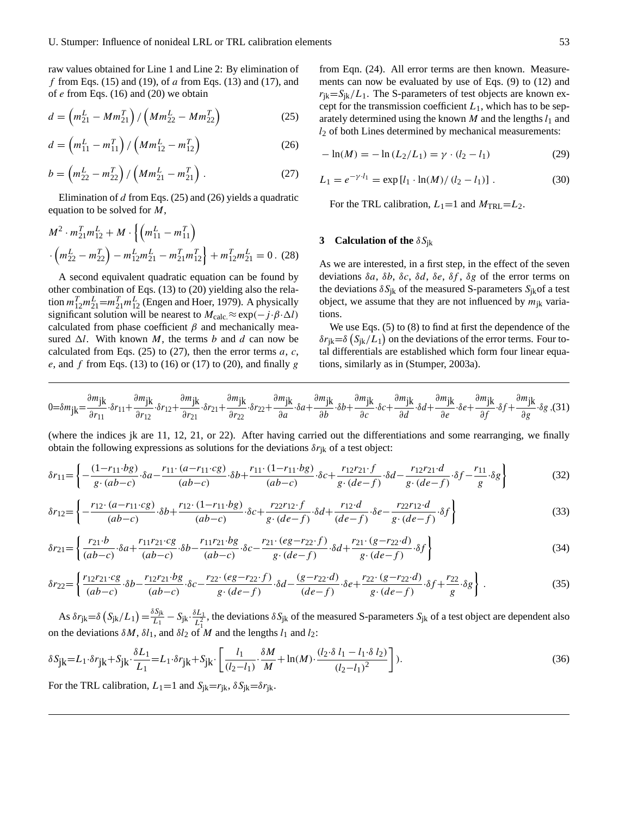raw values obtained for Line 1 and Line 2: By elimination of f from Eqs. [\(15\)](#page-1-4) and [\(19\)](#page-1-5), of  $a$  from Eqs. (13) and [\(17\)](#page-1-6), and of  $e$  from Eqs. (16) and [\(20\)](#page-1-7) we obtain

$$
d = \left( m_{21}^L - M m_{21}^T \right) / \left( M m_{22}^L - M m_{22}^T \right) \tag{25}
$$

<span id="page-2-0"></span>
$$
d = \left( m_{11}^L - m_{11}^T \right) / \left( M m_{12}^L - m_{12}^T \right) \tag{26}
$$

$$
b = \left(m_{22}^L - m_{22}^T\right) / \left(Mm_{21}^L - m_{21}^T\right) . \tag{27}
$$

Elimination of  $d$  from Eqs. (25) and [\(26\)](#page-2-0) yields a quadratic equation to be solved for M,

$$
M^{2} \cdot m_{21}^{T} m_{12}^{L} + M \cdot \left\{ \left( m_{11}^{L} - m_{11}^{T} \right) \right\} \cdot \left( m_{22}^{L} - m_{22}^{T} \right) - m_{12}^{L} m_{21}^{L} - m_{21}^{T} m_{12}^{T} \right\} + m_{12}^{T} m_{21}^{L} = 0.
$$
 (28)

A second equivalent quadratic equation can be found by other combination of Eqs. (13) to [\(20\)](#page-1-7) yielding also the relation  $m_{12}^T m_{21}^L = m_{21}^T m_{12}^L$  (Engen and Hoer, 1979). A physically significant solution will be nearest to  $M_{\text{calc}} \approx \exp(-j \cdot \beta \cdot \Delta l)$ calculated from phase coefficient  $\beta$  and mechanically measured  $\Delta l$ . With known M, the terms b and d can now be calculated from Eqs.  $(25)$  to  $(27)$ , then the error terms a, c, e, and f from Eqs. (13) to (16) or [\(17\)](#page-1-6) to [\(20\)](#page-1-7), and finally g

from Eqn. (24). All error terms are then known. Measurements can now be evaluated by use of Eqs. [\(9\)](#page-1-8) to (12) and  $r_{ik}=S_{ik}/L_1$ . The S-parameters of test objects are known except for the transmission coefficient  $L_1$ , which has to be separately determined using the known  $M$  and the lengths  $l_1$  and  $l_2$  of both Lines determined by mechanical measurements:

$$
-\ln(M) = -\ln(L_2/L_1) = \gamma \cdot (l_2 - l_1)
$$
 (29)

$$
L_1 = e^{-\gamma \cdot l_1} = \exp\left[l_1 \cdot \ln(M)/\left(l_2 - l_1\right)\right].\tag{30}
$$

For the TRL calibration,  $L_1=1$  and  $M_{\text{TRL}}=L_2$ .

## **3** Calculation of the  $\delta S_{ik}$

As we are interested, in a first step, in the effect of the seven deviations  $\delta a$ ,  $\delta b$ ,  $\delta c$ ,  $\delta d$ ,  $\delta e$ ,  $\delta f$ ,  $\delta g$  of the error terms on the deviations  $\delta S_{ik}$  of the measured S-parameters  $S_{ik}$  of a test object, we assume that they are not influenced by  $m_{ik}$  variations.

We use Eqs. [\(5\)](#page-1-9) to (8) to find at first the dependence of the  $\delta r_{jk} = \delta (S_{jk}/L_1)$  on the deviations of the error terms. Four total differentials are established which form four linear equations, similarly as in (Stumper, 2003a).

$$
0 = \delta m_{\mathbf{j}\mathbf{k}} = \frac{\partial m_{\mathbf{j}\mathbf{k}}}{\partial r_{11}} \cdot \delta r_{11} + \frac{\partial m_{\mathbf{j}\mathbf{k}}}{\partial r_{12}} \cdot \delta r_{12} + \frac{\partial m_{\mathbf{j}\mathbf{k}}}{\partial r_{21}} \cdot \delta r_{21} + \frac{\partial m_{\mathbf{j}\mathbf{k}}}{\partial r_{22}} \cdot \delta r_{22} + \frac{\partial m_{\mathbf{j}\mathbf{k}}}{\partial a} \cdot \delta a + \frac{\partial m_{\mathbf{j}\mathbf{k}}}{\partial b} \cdot \delta b + \frac{\partial m_{\mathbf{j}\mathbf{k}}}{\partial c} \cdot \delta c + \frac{\partial m_{\mathbf{j}\mathbf{k}}}{\partial d} \cdot \delta d + \frac{\partial m_{\mathbf{j}\mathbf{k}}}{\partial e} \cdot \delta e + \frac{\partial m_{\mathbf{j}\mathbf{k}}}{\partial f} \cdot \delta f + \frac{\partial m_{\mathbf{j}\mathbf{k}}}{\partial g} \cdot \delta g \tag{31}
$$

(where the indices jk are 11, 12, 21, or 22). After having carried out the differentiations and some rearranging, we finally obtain the following expressions as solutions for the deviations  $\delta r_{ik}$  of a test object:

<span id="page-2-1"></span>
$$
\delta r_{11} = \left\{ -\frac{(1 - r_{11} \cdot bg)}{g \cdot (ab - c)} \cdot \delta a - \frac{r_{11} \cdot (a - r_{11} \cdot cg)}{(ab - c)} \cdot \delta b + \frac{r_{11} \cdot (1 - r_{11} \cdot bg)}{(ab - c)} \cdot \delta c + \frac{r_{12} r_{21} \cdot f}{g \cdot (de - f)} \cdot \delta d - \frac{r_{12} r_{21} \cdot d}{g \cdot (de - f)} \cdot \delta f - \frac{r_{11}}{g} \cdot \delta g \right\}
$$
(32)

$$
\delta r_{12} = \left\{ -\frac{r_{12} \cdot (a - r_{11} \cdot cg)}{(ab - c)} \cdot \delta b + \frac{r_{12} \cdot (1 - r_{11} \cdot bg)}{(ab - c)} \cdot \delta c + \frac{r_{22}r_{12} \cdot f}{g \cdot (de - f)} \cdot \delta d + \frac{r_{12} \cdot d}{(de - f)} \cdot \delta e - \frac{r_{22}r_{12} \cdot d}{g \cdot (de - f)} \cdot \delta f \right\}
$$
(33)

$$
\delta r_{21} = \left\{ \frac{r_{21} \cdot b}{(ab-c)} \cdot \delta a + \frac{r_{11}r_{21} \cdot cg}{(ab-c)} \cdot \delta b - \frac{r_{11}r_{21} \cdot bg}{(ab-c)} \cdot \delta c - \frac{r_{21} \cdot (eg - r_{22} \cdot f)}{g \cdot (de - f)} \cdot \delta d + \frac{r_{21} \cdot (g - r_{22} \cdot d)}{g \cdot (de - f)} \cdot \delta f \right\}
$$
(34)

$$
\delta r_{22} = \left\{ \frac{r_{12}r_{21} \cdot c g}{(ab-c)} \cdot \delta b - \frac{r_{12}r_{21} \cdot b g}{(ab-c)} \cdot \delta c - \frac{r_{22} \cdot (e g - r_{22} \cdot f)}{g \cdot (de-f)} \cdot \delta d - \frac{(g - r_{22} \cdot d)}{(de-f)} \cdot \delta e + \frac{r_{22} \cdot (g - r_{22} \cdot d)}{g \cdot (de-f)} \cdot \delta f + \frac{r_{22}}{g} \cdot \delta g \right\} \,. \tag{35}
$$

As  $\delta r_{jk} = \delta \left( S_{jk}/L_1 \right) = \frac{\delta S_{jk}}{L_1}$  $\frac{\delta S_{\text{jk}}}{L_{1}}-S_{\text{jk}}\cdot \frac{\delta L_{1}}{L_{1}^{2}}$  $\frac{\partial L_1}{\partial L_1}$ , the deviations  $\delta S_{jk}$  of the measured S-parameters  $S_{jk}$  of a test object are dependent also on the deviations  $\delta M$ ,  $\delta l_1$ , and  $\delta l_2$  of M and the lengths  $l_1$  and  $l_2$ :

$$
\delta S_{jk} = L_1 \cdot \delta r_{jk} + S_{jk} \cdot \frac{\delta L_1}{L_1} = L_1 \cdot \delta r_{jk} + S_{jk} \cdot \left[ \frac{l_1}{(l_2 - l_1)} \cdot \frac{\delta M}{M} + \ln(M) \cdot \frac{(l_2 \cdot \delta l_1 - l_1 \cdot \delta l_2)}{(l_2 - l_1)^2} \right].
$$
\n(36)

For the TRL calibration,  $L_1=1$  and  $S_{ik}=r_{ik}$ ,  $\delta S_{ik}=\delta r_{ik}$ .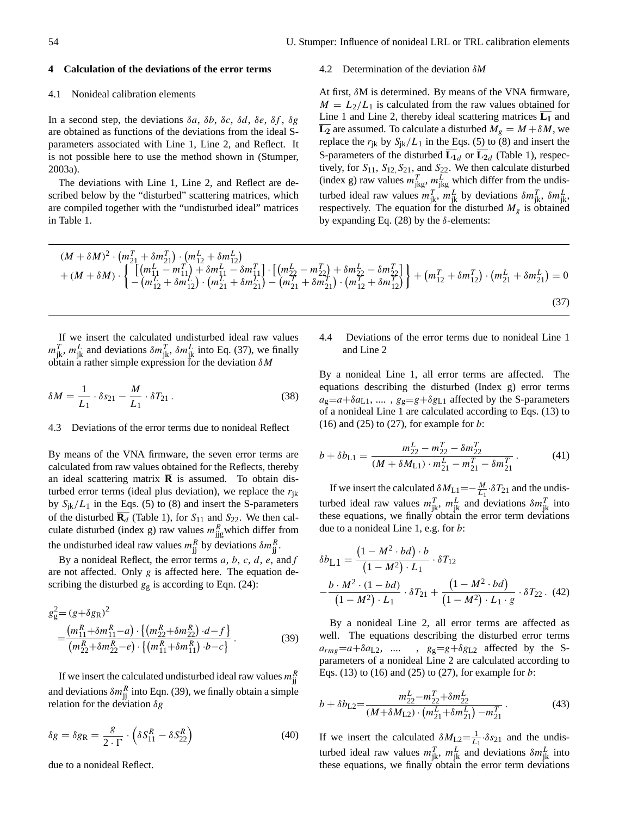#### **4 Calculation of the deviations of the error terms**

#### 4.1 Nonideal calibration elements

In a second step, the deviations  $\delta a$ ,  $\delta b$ ,  $\delta c$ ,  $\delta d$ ,  $\delta e$ ,  $\delta f$ ,  $\delta g$ are obtained as functions of the deviations from the ideal Sparameters associated with Line 1, Line 2, and Reflect. It is not possible here to use the method shown in (Stumper, 2003a).

The deviations with Line 1, Line 2, and Reflect are described below by the "disturbed" scattering matrices, which are compiled together with the "undisturbed ideal" matrices in Table 1.

#### 4.2 Determination of the deviation δ*M*

At first, δM is determined. By means of the VNA firmware,  $M = L_2/L_1$  is calculated from the raw values obtained for Line 1 and Line 2, thereby ideal scattering matrices  $\overline{L_1}$  and **L<sub>2</sub>** are assumed. To calculate a disturbed  $M_g = M + \delta M$ , we replace the  $r_{jk}$  by  $S_{jk}/L_1$  in the Eqs. [\(5\)](#page-1-9) to (8) and insert the S-parameters of the disturbed  $\mathbf{L}_{1d}$  or  $\mathbf{L}_{2d}$  (Table 1), respectively, for  $S_{11}$ ,  $S_{12}$ ,  $S_{21}$ , and  $S_{22}$ . We then calculate disturbed (index g) raw values  $m_{\text{jkg}}^T$ ,  $m_{\text{jkg}}^L$  which differ from the undisturbed ideal raw values  $m_{jk}^T$ ,  $m_{jk}^L$  by deviations  $\delta m_{jk}^T$ ,  $\delta m_{jk}^L$ , respectively. The equation for the disturbed  $M_g$  is obtained by expanding Eq. (28) by the  $\delta$ -elements:

$$
(M + \delta M)^2 \cdot \left( m_{21}^T + \delta m_{21}^T \right) \cdot \left( m_{12}^L + \delta m_{12}^L \right) + (M + \delta M) \cdot \left\{ \begin{aligned} & \left[ \left( m_{11}^L - m_{11}^T \right) + \delta m_{11}^L - \delta m_{11}^T \right] \cdot \left[ \left( m_{22}^L - m_{22}^T \right) + \delta m_{22}^L - \delta m_{22}^T \right] \\ & - \left( m_{12}^L + \delta m_{12}^L \right) \cdot \left( m_{21}^L + \delta m_{21}^L \right) - \left( m_{21}^T + \delta m_{21}^T \right) \cdot \left( m_{12}^T + \delta m_{12}^T \right) \end{aligned} \right\} + \left( m_{12}^T + \delta m_{12}^T \right) \cdot \left( m_{21}^L + \delta m_{21}^L \right) = 0
$$
\n
$$
(37)
$$

If we insert the calculated undisturbed ideal raw values  $m_{jk}^T$ ,  $m_{jk}^L$  and deviations  $\delta m_{jk}^T$ ,  $\delta m_{jk}^L$  into Eq. (37), we finally obtain a rather simple expression for the deviation  $\delta M$ 

$$
\delta M = \frac{1}{L_1} \cdot \delta s_{21} - \frac{M}{L_1} \cdot \delta T_{21} \,. \tag{38}
$$

## 4.3 Deviations of the error terms due to nonideal Reflect

By means of the VNA firmware, the seven error terms are calculated from raw values obtained for the Reflects, thereby an ideal scattering matrix  $\overline{R}$  is assumed. To obtain disturbed error terms (ideal plus deviation), we replace the  $r_{ik}$ by  $S_{ik}/L_1$  in the Eqs. [\(5\)](#page-1-9) to (8) and insert the S-parameters of the disturbed  $\overline{\mathbf{R}_{d}}$  (Table 1), for  $S_{11}$  and  $S_{22}$ . We then calculate disturbed (index g) raw values  $m_{\text{jig}}^R$  which differ from the undisturbed ideal raw values  $m_{jj}^{R}$  by deviations  $\delta m_{jj}^{R}$ .

By a nonideal Reflect, the error terms  $a, b, c, d, e$ , and  $f$ are not affected. Only  $g$  is affected here. The equation describing the disturbed  $g<sub>g</sub>$  is according to Eqn. (24):

$$
g_g^2 = (g + \delta g_R)^2
$$
  
= 
$$
\frac{(m_{11}^R + \delta m_{11}^R - a) \cdot \{(m_{22}^R + \delta m_{22}^R) \cdot d - f\}}{(m_{22}^R + \delta m_{22}^R - e) \cdot \{(m_{11}^R + \delta m_{11}^R) \cdot b - c\}}.
$$
 (39)

If we insert the calculated undisturbed ideal raw values  $m_{jj}^{R}$ and deviations  $\delta m_{jj}^R$  into Eqn. (39), we finally obtain a simple relation for the deviation  $\delta g$ 

<span id="page-3-0"></span>
$$
\delta g = \delta g_R = \frac{g}{2 \cdot \Gamma} \cdot \left( \delta S_{11}^R - \delta S_{22}^R \right) \tag{40}
$$

due to a nonideal Reflect.

## 4.4 Deviations of the error terms due to nonideal Line 1 and Line 2

By a nonideal Line 1, all error terms are affected. The equations describing the disturbed (Index g) error terms  $a_g=a+\delta a_{L1}, \ldots, g_g=g+\delta g_{L1}$  affected by the S-parameters of a nonideal Line 1 are calculated according to Eqs. (13) to  $(16)$  and  $(25)$  to  $(27)$ , for example for b:

$$
b + \delta b_{L1} = \frac{m_{22}^L - m_{22}^T - \delta m_{22}^T}{(M + \delta M_{L1}) \cdot m_{21}^L - m_{21}^T - \delta m_{21}^T}.
$$
 (41)

If we insert the calculated  $\delta M_{L1} = -\frac{M}{L_1} \cdot \delta T_{21}$  and the undisturbed ideal raw values  $m_{jk}^T$ ,  $m_{jk}^L$  and deviations  $\delta m_{jk}^T$  into these equations, we finally obtain the error term deviations due to a nonideal Line 1, e.g. for b:

$$
\delta b_{L1} = \frac{(1 - M^2 \cdot bd) \cdot b}{(1 - M^2) \cdot L_1} \cdot \delta T_{12}
$$

$$
-\frac{b \cdot M^2 \cdot (1 - bd)}{(1 - M^2) \cdot L_1} \cdot \delta T_{21} + \frac{(1 - M^2 \cdot bd)}{(1 - M^2) \cdot L_1 \cdot g} \cdot \delta T_{22}.
$$
(42)

By a nonideal Line 2, all error terms are affected as well. The equations describing the disturbed error terms  $a_{rms} = a + \delta a_{L2}$ , .... ,  $g_g = g + \delta g_{L2}$  affected by the Sparameters of a nonideal Line 2 are calculated according to Eqs. (13) to (16) and (25) to (27), for example for  $b$ :

$$
b + \delta b_{L2} = \frac{m_{22}^L - m_{22}^T + \delta m_{22}^L}{(M + \delta M_{L2}) \cdot (m_{21}^L + \delta m_{21}^L) - m_{21}^T}.
$$
 (43)

If we insert the calculated  $\delta M_{L2} = \frac{1}{L_1} \cdot \delta s_{21}$  and the undisturbed ideal raw values  $m_{jk}^T$ ,  $m_{jk}^L$  and deviations  $\delta m_{jk}^L$  into these equations, we finally obtain the error term deviations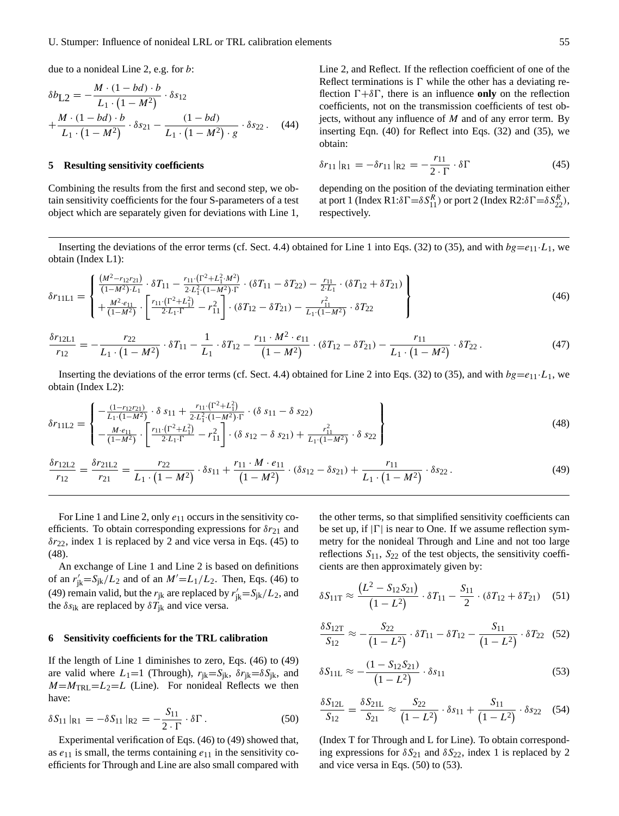due to a nonideal Line 2, e.g. for b:

$$
\delta b_{L2} = -\frac{M \cdot (1 - bd) \cdot b}{L_1 \cdot (1 - M^2)} \cdot \delta s_{12} + \frac{M \cdot (1 - bd) \cdot b}{L_1 \cdot (1 - M^2)} \cdot \delta s_{21} - \frac{(1 - bd)}{L_1 \cdot (1 - M^2) \cdot g} \cdot \delta s_{22}. \tag{44}
$$

### **5 Resulting sensitivity coefficients**

Combining the results from the first and second step, we obtain sensitivity coefficients for the four S-parameters of a test object which are separately given for deviations with Line 1, Line 2, and Reflect. If the reflection coefficient of one of the Reflect terminations is  $\Gamma$  while the other has a deviating reflection  $\Gamma + \delta \Gamma$ , there is an influence **only** on the reflection coefficients, not on the transmission coefficients of test objects, without any influence of  $M$  and of any error term. By inserting Eqn. [\(40\)](#page-3-0) for Reflect into Eqs. [\(32\)](#page-2-1) and (35), we obtain:

<span id="page-4-0"></span>
$$
\delta r_{11} |_{R1} = -\delta r_{11} |_{R2} = -\frac{r_{11}}{2 \cdot \Gamma} \cdot \delta \Gamma \tag{45}
$$

depending on the position of the deviating termination either at port 1 (Index R1: $\delta \Gamma = \delta S_{11}^R$ ) or port 2 (Index R2: $\delta \Gamma = \delta S_{22}^R$ ), respectively.

Inserting the deviations of the error terms (cf. Sect. 4.4) obtained for Line 1 into Eqs. [\(32\)](#page-2-1) to (35), and with  $bg=e_{11}\cdot L_{1}$ , we obtain (Index L1):

<span id="page-4-2"></span>
$$
\delta r_{11L1} = \begin{cases}\n\frac{(M^2 - r_{12}r_{21})}{(1 - M^2) \cdot L_1} \cdot \delta T_{11} - \frac{r_{11} \cdot (\Gamma^2 + L_1^2 \cdot M^2)}{2 \cdot L_1^2 \cdot (1 - M^2) \cdot \Gamma} \cdot (\delta T_{11} - \delta T_{22}) - \frac{r_{11}}{2 \cdot L_1} \cdot (\delta T_{12} + \delta T_{21}) \\
+\frac{M^2 \cdot e_{11}}{(1 - M^2)} \cdot \left[ \frac{r_{11} \cdot (\Gamma^2 + L_1^2)}{2 \cdot L_1 \cdot \Gamma} - r_{11}^2 \right] \cdot (\delta T_{12} - \delta T_{21}) - \frac{r_{11}^2}{L_1 \cdot (1 - M^2)} \cdot \delta T_{22}\n\end{cases}
$$
\n
$$
(46)
$$

$$
\frac{\delta r_{12L1}}{r_{12}} = -\frac{r_{22}}{L_1 \cdot (1 - M^2)} \cdot \delta T_{11} - \frac{1}{L_1} \cdot \delta T_{12} - \frac{r_{11} \cdot M^2 \cdot e_{11}}{(1 - M^2)} \cdot (\delta T_{12} - \delta T_{21}) - \frac{r_{11}}{L_1 \cdot (1 - M^2)} \cdot \delta T_{22} \,. \tag{47}
$$

Inserting the deviations of the error terms (cf. Sect. 4.4) obtained for Line 2 into Eqs. [\(32\)](#page-2-1) to (35), and with  $bg=e_{11}\cdot L_1$ , we obtain (Index L2):

<span id="page-4-1"></span>
$$
\delta r_{11L2} = \begin{cases}\n-\frac{(1-r_{12}r_{21})}{L_1 \cdot (1-M^2)} \cdot \delta s_{11} + \frac{r_{11} \cdot (\Gamma^2 + L_1^2)}{2 \cdot L_1^2 \cdot (1-M^2) \cdot \Gamma} \cdot (\delta s_{11} - \delta s_{22}) \\
-\frac{M \cdot e_{11}}{(1-M^2)} \cdot \left[ \frac{r_{11} \cdot (\Gamma^2 + L_1^2)}{2 \cdot L_1 \cdot \Gamma} - r_{11}^2 \right] \cdot (\delta s_{12} - \delta s_{21}) + \frac{r_{11}^2}{L_1 \cdot (1-M^2)} \cdot \delta s_{22}\n\end{cases}
$$
\n(48)

$$
\frac{\delta r_{121.2}}{r_{12}} = \frac{\delta r_{211.2}}{r_{21}} = \frac{r_{22}}{L_1 \cdot (1 - M^2)} \cdot \delta s_{11} + \frac{r_{11} \cdot M \cdot e_{11}}{(1 - M^2)} \cdot (\delta s_{12} - \delta s_{21}) + \frac{r_{11}}{L_1 \cdot (1 - M^2)} \cdot \delta s_{22} \,. \tag{49}
$$

For Line 1 and Line 2, only  $e_{11}$  occurs in the sensitivity coefficients. To obtain corresponding expressions for  $\delta r_{21}$  and  $\delta r_{22}$ , index 1 is replaced by 2 and vice versa in Eqs. [\(45\)](#page-4-0) to [\(48\)](#page-4-1).

An exchange of Line 1 and Line 2 is based on definitions of an  $r'_{jk}=S_{jk}/L_2$  and of an  $M'=L_1/L_2$ . Then, Eqs. [\(46\)](#page-4-2) to (49) remain valid, but the  $r_{jk}$  are replaced by  $r'_{jk} = S_{jk}/L_2$ , and the  $\delta s_{ik}$  are replaced by  $\delta T_{ik}$  and vice versa.

#### **6 Sensitivity coefficients for the TRL calibration**

If the length of Line 1 diminishes to zero, Eqs. [\(46\)](#page-4-2) to (49) are valid where  $L_1=1$  (Through),  $r_{ik}=S_{ik}$ ,  $\delta r_{ik}=\delta S_{ik}$ , and  $M=M_{\text{TRL}}=L_2=L$  (Line). For nonideal Reflects we then have:

$$
\delta S_{11} |_{R1} = -\delta S_{11} |_{R2} = -\frac{S_{11}}{2 \cdot \Gamma} \cdot \delta \Gamma \,. \tag{50}
$$

Experimental verification of Eqs. [\(46\)](#page-4-2) to (49) showed that, as  $e_{11}$  is small, the terms containing  $e_{11}$  in the sensitivity coefficients for Through and Line are also small compared with the other terms, so that simplified sensitivity coefficients can be set up, if  $|\Gamma|$  is near to One. If we assume reflection symmetry for the nonideal Through and Line and not too large reflections  $S_{11}$ ,  $S_{22}$  of the test objects, the sensitivity coefficients are then approximately given by:

$$
\delta S_{11T} \approx \frac{(L^2 - S_{12}S_{21})}{(1 - L^2)} \cdot \delta T_{11} - \frac{S_{11}}{2} \cdot (\delta T_{12} + \delta T_{21}) \quad (51)
$$

<span id="page-4-4"></span>
$$
\frac{\delta S_{12T}}{S_{12}} \approx -\frac{S_{22}}{(1 - L^2)} \cdot \delta T_{11} - \delta T_{12} - \frac{S_{11}}{(1 - L^2)} \cdot \delta T_{22} \quad (52)
$$

<span id="page-4-3"></span>
$$
\delta S_{11L} \approx -\frac{(1 - S_{12}S_{21})}{(1 - L^2)} \cdot \delta s_{11}
$$
\n(53)

$$
\frac{\delta S_{12L}}{S_{12}} = \frac{\delta S_{21L}}{S_{21}} \approx \frac{S_{22}}{(1 - L^2)} \cdot \delta s_{11} + \frac{S_{11}}{(1 - L^2)} \cdot \delta s_{22} \quad (54)
$$

(Index T for Through and L for Line). To obtain corresponding expressions for  $\delta S_{21}$  and  $\delta S_{22}$ , index 1 is replaced by 2 and vice versa in Eqs. (50) to [\(53\)](#page-4-3).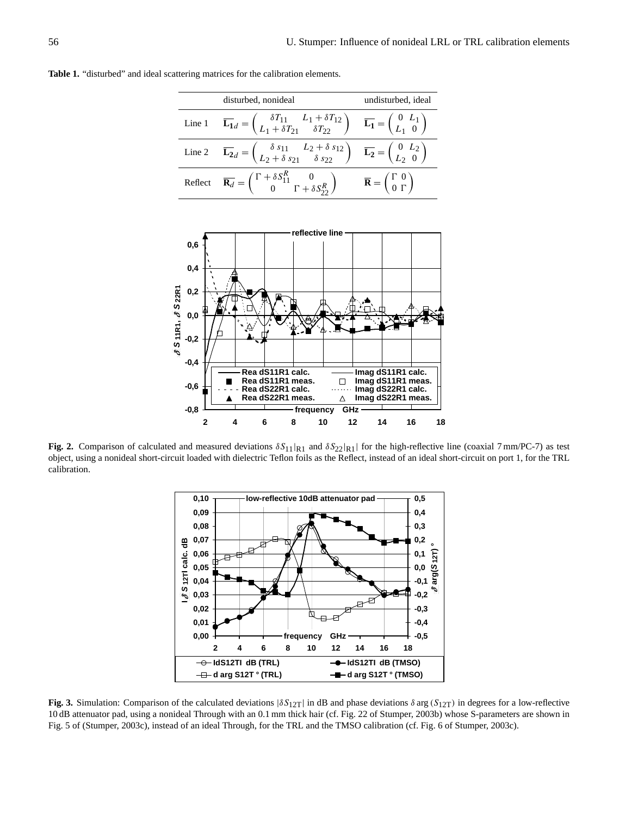**Table 1.** "disturbed" and ideal scattering matrices for the calibration elements.

| disturbed, nonideal                                                                                                                                                                                                        | undisturbed, ideal                                                               |
|----------------------------------------------------------------------------------------------------------------------------------------------------------------------------------------------------------------------------|----------------------------------------------------------------------------------|
| Line 1 $\overline{\mathbf{L_1}}_d = \begin{pmatrix} \delta T_{11} & L_1 + \delta T_{12} \\ L_1 + \delta T_{21} & \delta T_{22} \end{pmatrix}$ $\overline{\mathbf{L_1}} = \begin{pmatrix} 0 & L_1 \\ L_1 & 0 \end{pmatrix}$ |                                                                                  |
| Line 2 $\overline{\mathbf{L_2}} = \begin{pmatrix} \delta s_{11} & L_2 + \delta s_{12} \\ L_2 + \delta s_{21} & \delta s_{22} \end{pmatrix}$ $\overline{\mathbf{L_2}} = \begin{pmatrix} 0 & L_2 \\ L_2 & 0 \end{pmatrix}$   |                                                                                  |
| Reflect $\overline{\mathbf{R}_d} = \begin{pmatrix} \Gamma + \delta S_{11}^R & 0 \\ 0 & \Gamma + \delta S_{22}^R \end{pmatrix}$                                                                                             | $\overline{\mathbf{R}} = \begin{pmatrix} \Gamma & 0 \\ 0 & \Gamma \end{pmatrix}$ |



**Fig. 2.** Comparison of calculated and measured deviations  $\delta S_{11}|_{R1}$  and  $\delta S_{22}|_{R1}|$  for the high-reflective line (coaxial 7 mm/PC-7) as test object, using a nonideal short-circuit loaded with dielectric Teflon foils as the Reflect, instead of an ideal short-circuit on port 1, for the TRL calibration.



**Fig. 3.** Simulation: Comparison of the calculated deviations  $|\delta S_{12T}|$  in dB and phase deviations  $\delta \arg(S_{12T})$  in degrees for a low-reflective 10 dB attenuator pad, using a nonideal Through with an 0.1 mm thick hair (cf. Fig. 22 of Stumper, 2003b) whose S-parameters are shown in Fig. 5 of (Stumper, 2003c), instead of an ideal Through, for the TRL and the TMSO calibration (cf. Fig. 6 of Stumper, 2003c).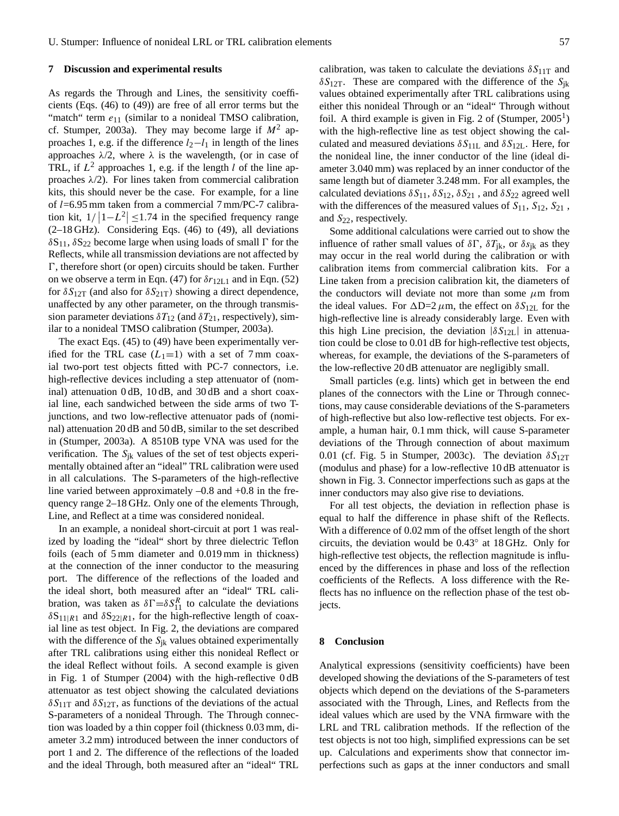#### **7 Discussion and experimental results**

As regards the Through and Lines, the sensitivity coefficients (Eqs. [\(46\)](#page-4-2) to (49)) are free of all error terms but the "match" term  $e_{11}$  (similar to a nonideal TMSO calibration, cf. Stumper, 2003a). They may become large if  $M^2$  approaches 1, e.g. if the difference  $l_2-l_1$  in length of the lines approaches  $\lambda/2$ , where  $\lambda$  is the wavelength, (or in case of TRL, if  $L^2$  approaches 1, e.g. if the length l of the line approaches  $\lambda/2$ ). For lines taken from commercial calibration kits, this should never be the case. For example, for a line of l=6.95 mm taken from a commercial 7 mm/PC-7 calibration kit,  $1/|1-L^2| \le 1.74$  in the specified frequency range (2–18 GHz). Considering Eqs. [\(46\)](#page-4-2) to (49), all deviations  $\delta S_{11}$ ,  $\delta S_{22}$  become large when using loads of small  $\Gamma$  for the Reflects, while all transmission deviations are not affected by  $\Gamma$ , therefore short (or open) circuits should be taken. Further on we observe a term in Eqn. (47) for  $\delta r_{12L1}$  and in Eqn. [\(52\)](#page-4-4) for  $\delta S_{12T}$  (and also for  $\delta S_{21T}$ ) showing a direct dependence, unaffected by any other parameter, on the through transmission parameter deviations  $\delta T_{12}$  (and  $\delta T_{21}$ , respectively), similar to a nonideal TMSO calibration (Stumper, 2003a).

The exact Eqs. [\(45\)](#page-4-0) to (49) have been experimentally verified for the TRL case  $(L_1=1)$  with a set of 7 mm coaxial two-port test objects fitted with PC-7 connectors, i.e. high-reflective devices including a step attenuator of (nominal) attenuation 0 dB, 10 dB, and 30 dB and a short coaxial line, each sandwiched between the side arms of two Tjunctions, and two low-reflective attenuator pads of (nominal) attenuation 20 dB and 50 dB, similar to the set described in (Stumper, 2003a). A 8510B type VNA was used for the verification. The  $S_{ik}$  values of the set of test objects experimentally obtained after an "ideal" TRL calibration were used in all calculations. The S-parameters of the high-reflective line varied between approximately  $-0.8$  and  $+0.8$  in the frequency range 2–18 GHz. Only one of the elements Through, Line, and Reflect at a time was considered nonideal.

In an example, a nonideal short-circuit at port 1 was realized by loading the "ideal" short by three dielectric Teflon foils (each of 5 mm diameter and 0.019 mm in thickness) at the connection of the inner conductor to the measuring port. The difference of the reflections of the loaded and the ideal short, both measured after an "ideal" TRL calibration, was taken as  $\delta \Gamma = \delta S_{11}^R$  to calculate the deviations  $\delta S_{11|R1}$  and  $\delta S_{22|R1}$ , for the high-reflective length of coaxial line as test object. In Fig. 2, the deviations are compared with the difference of the  $S_{ik}$  values obtained experimentally after TRL calibrations using either this nonideal Reflect or the ideal Reflect without foils. A second example is given in Fig. 1 of Stumper (2004) with the high-reflective 0 dB attenuator as test object showing the calculated deviations  $\delta S_{11T}$  and  $\delta S_{12T}$ , as functions of the deviations of the actual S-parameters of a nonideal Through. The Through connection was loaded by a thin copper foil (thickness 0.03 mm, diameter 3.2 mm) introduced between the inner conductors of port 1 and 2. The difference of the reflections of the loaded and the ideal Through, both measured after an "ideal" TRL calibration, was taken to calculate the deviations  $\delta S_{11T}$  and  $\delta S_{12T}$ . These are compared with the difference of the  $S_{ik}$ values obtained experimentally after TRL calibrations using either this nonideal Through or an "ideal" Through without foil. A third example is given in Fig. 2 of  $(Stumper, 2005<sup>1</sup>)$ with the high-reflective line as test object showing the calculated and measured deviations  $\delta S_{11L}$  and  $\delta S_{12L}$ . Here, for the nonideal line, the inner conductor of the line (ideal diameter 3.040 mm) was replaced by an inner conductor of the same length but of diameter 3.248 mm. For all examples, the calculated deviations  $\delta S_{11}$ ,  $\delta S_{12}$ ,  $\delta S_{21}$ , and  $\delta S_{22}$  agreed well with the differences of the measured values of  $S_{11}$ ,  $S_{12}$ ,  $S_{21}$ , and  $S_{22}$ , respectively.

Some additional calculations were carried out to show the influence of rather small values of  $\delta \Gamma$ ,  $\delta T_{ik}$ , or  $\delta s_{ik}$  as they may occur in the real world during the calibration or with calibration items from commercial calibration kits. For a Line taken from a precision calibration kit, the diameters of the conductors will deviate not more than some  $\mu$ m from the ideal values. For  $\Delta D=2\,\mu\text{m}$ , the effect on  $\delta S_{12L}$  for the high-reflective line is already considerably large. Even with this high Line precision, the deviation  $|\delta S_{12L}|$  in attenuation could be close to 0.01 dB for high-reflective test objects, whereas, for example, the deviations of the S-parameters of the low-reflective 20 dB attenuator are negligibly small.

Small particles (e.g. lints) which get in between the end planes of the connectors with the Line or Through connections, may cause considerable deviations of the S-parameters of high-reflective but also low-reflective test objects. For example, a human hair, 0.1 mm thick, will cause S-parameter deviations of the Through connection of about maximum 0.01 (cf. Fig. 5 in Stumper, 2003c). The deviation  $\delta S_{12T}$ (modulus and phase) for a low-reflective 10 dB attenuator is shown in Fig. 3. Connector imperfections such as gaps at the inner conductors may also give rise to deviations.

For all test objects, the deviation in reflection phase is equal to half the difference in phase shift of the Reflects. With a difference of 0.02 mm of the offset length of the short circuits, the deviation would be 0.43◦ at 18 GHz. Only for high-reflective test objects, the reflection magnitude is influenced by the differences in phase and loss of the reflection coefficients of the Reflects. A loss difference with the Reflects has no influence on the reflection phase of the test objects.

#### **8 Conclusion**

Analytical expressions (sensitivity coefficients) have been developed showing the deviations of the S-parameters of test objects which depend on the deviations of the S-parameters associated with the Through, Lines, and Reflects from the ideal values which are used by the VNA firmware with the LRL and TRL calibration methods. If the reflection of the test objects is not too high, simplified expressions can be set up. Calculations and experiments show that connector imperfections such as gaps at the inner conductors and small